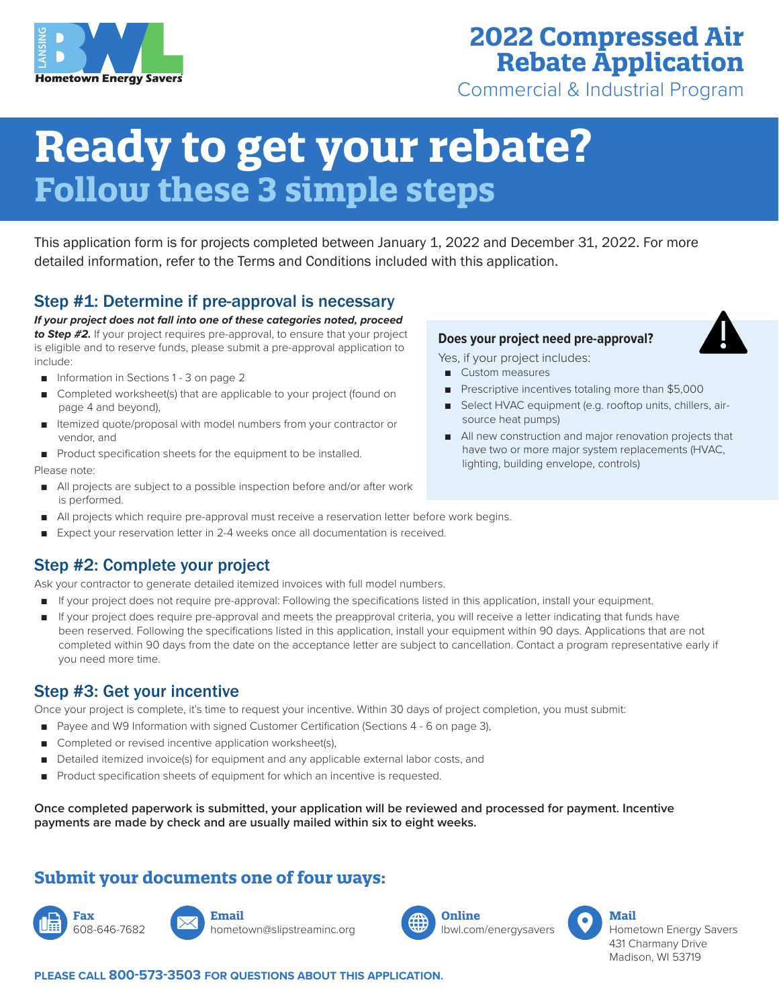

## **2022 Compressed Air Rebate Application**

Commercial & Industrial Program

# **Ready to get your rebate? Follow these 3 simple steps**

This application form is for projects completed between January 1, 2022 and December 31, 2022. For more detailed information, refer to the Terms and Conditions included with this application.

## Step #1: Determine if pre-approval is necessary

*If your project does not fall into one of these categories noted, proceed to Step #2.* If your project requires pre-approval, to ensure that your project is eligible and to reserve funds, please submit a pre-approval application to include:

- Information in Sections 1 3 on page 2
- Completed worksheet(s) that are applicable to your project (found on page 4 and beyond),
- Itemized quote/proposal with model numbers from your contractor or vendor, and
- Product specification sheets for the equipment to be installed.

Please note:

- All projects are subject to a possible inspection before and/or after work is performed.
- All projects which require pre-approval must receive a reservation letter before work begins.
- Expect your reservation letter in 2-4 weeks once all documentation is received.

## Step #2: Complete your project

Ask your contractor to generate detailed itemized invoices with full model numbers.

- If your project does not require pre-approval: Following the specifications listed in this application, install your equipment.
- If your project does require pre-approval and meets the preapproval criteria, you will receive a letter indicating that funds have been reserved. Following the specifications listed in this application, install your equipment within 90 days. Applications that are not completed within 90 days from the date on the acceptance letter are subject to cancellation. Contact a program representative early if you need more time.

### Step #3: Get your incentive

Once your project is complete, it's time to request your incentive. Within 30 days of project completion, you must submit:

- Payee and W9 Information with signed Customer Certification (Sections 4 6 on page 3),
- Completed or revised incentive application worksheet(s),
- Detailed itemized invoice(s) for equipment and any applicable external labor costs, and
- Product specification sheets of equipment for which an incentive is requested.

**Once completed paperwork is submitted, your application will be reviewed and processed for payment. Incentive payments are made by check and are usually mailed within six to eight weeks.**

## **Submit your documents one of four ways:**

**Fax** 608-646-7682



hometown@slipstreaminc.org





Yes, if your project includes:

**Does your project need pre-approval?**

- Custom measures
- Prescriptive incentives totaling more than \$5,000
- Select HVAC equipment (e.g. rooftop units, chillers, airsource heat pumps)
- All new construction and major renovation projects that have two or more major system replacements (HVAC, lighting, building envelope, controls)



**PLEASE CALL 800-573-3503 FOR QUESTIONS ABOUT THIS APPLICATION.**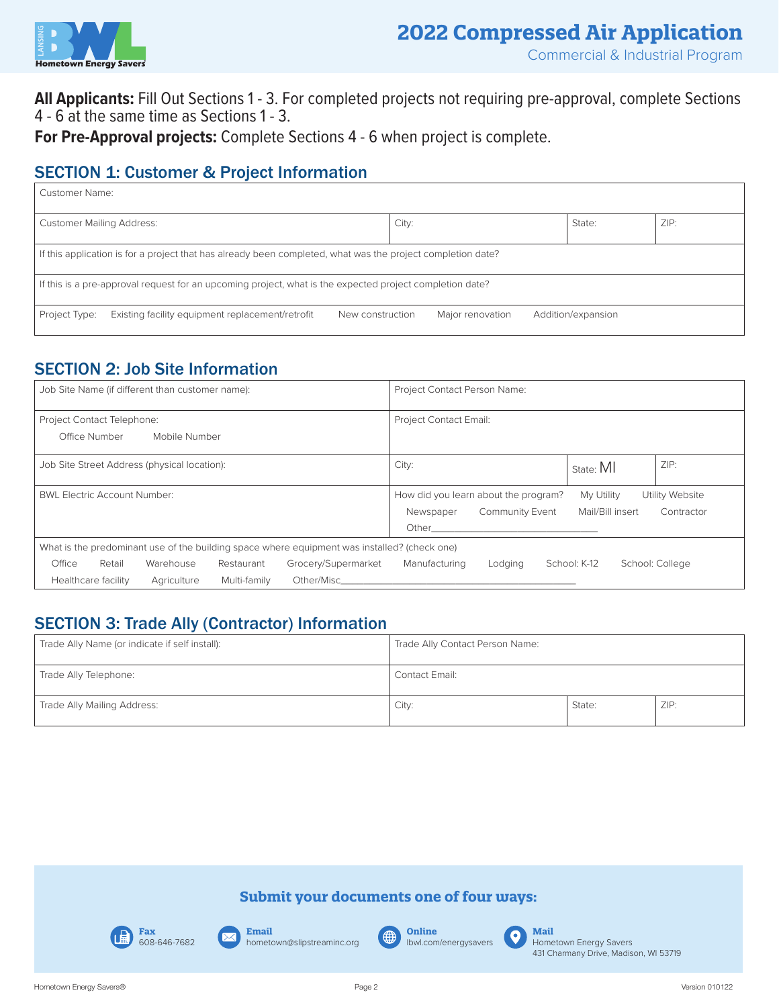

**All Applicants:** Fill Out Sections 1 - 3. For completed projects not requiring pre-approval, complete Sections 4 - 6 at the same time as Sections 1 - 3.

**For Pre-Approval projects:** Complete Sections 4 - 6 when project is complete.

## **SECTION 1: Customer & Project Information**

| Customer Name:                                                                                              |                                        |  |  |  |
|-------------------------------------------------------------------------------------------------------------|----------------------------------------|--|--|--|
| <b>Customer Mailing Address:</b>                                                                            | ZIP:<br>City:<br>State:                |  |  |  |
| If this application is for a project that has already been completed, what was the project completion date? |                                        |  |  |  |
| If this is a pre-approval request for an upcoming project, what is the expected project completion date?    |                                        |  |  |  |
| Existing facility equipment replacement/retrofit<br>Project Type:<br>New construction                       | Major renovation<br>Addition/expansion |  |  |  |

## SECTION 2: Job Site Information

| Job Site Name (if different than customer name):                                             | Project Contact Person Name:                                                                                                                                                                                                   |
|----------------------------------------------------------------------------------------------|--------------------------------------------------------------------------------------------------------------------------------------------------------------------------------------------------------------------------------|
| Project Contact Telephone:                                                                   | <b>Project Contact Email:</b>                                                                                                                                                                                                  |
| Office Number<br>Mobile Number                                                               |                                                                                                                                                                                                                                |
| Job Site Street Address (physical location):                                                 | ZIP:<br>City:<br>State: MI                                                                                                                                                                                                     |
| <b>BWL Electric Account Number:</b>                                                          | How did you learn about the program?<br>My Utility<br>Utility Website                                                                                                                                                          |
|                                                                                              | Mail/Bill insert<br><b>Community Event</b><br>Contractor<br>Newspaper                                                                                                                                                          |
|                                                                                              | Other than the contract of the contract of the contract of the contract of the contract of the contract of the                                                                                                                 |
| What is the predominant use of the building space where equipment was installed? (check one) |                                                                                                                                                                                                                                |
| Office<br>Grocery/Supermarket<br>Retail<br>Warehouse<br>Restaurant                           | School: K-12<br>Manufacturing<br>School: College<br>Lodging                                                                                                                                                                    |
| Healthcare facility<br>Multi-family<br>Agriculture                                           | Other/Mischender and the contract of the contract of the contract of the contract of the contract of the contract of the contract of the contract of the contract of the contract of the contract of the contract of the contr |

## SECTION 3: Trade Ally (Contractor) Information

| Trade Ally Name (or indicate if self install): | Trade Ally Contact Person Name: |        |      |
|------------------------------------------------|---------------------------------|--------|------|
| Trade Ally Telephone:                          | Contact Email:                  |        |      |
| Trade Ally Mailing Address:                    | City:                           | State: | ZIP: |

### **Submit your documents one of four ways:**



**Email** hometown@slipstreaminc.org

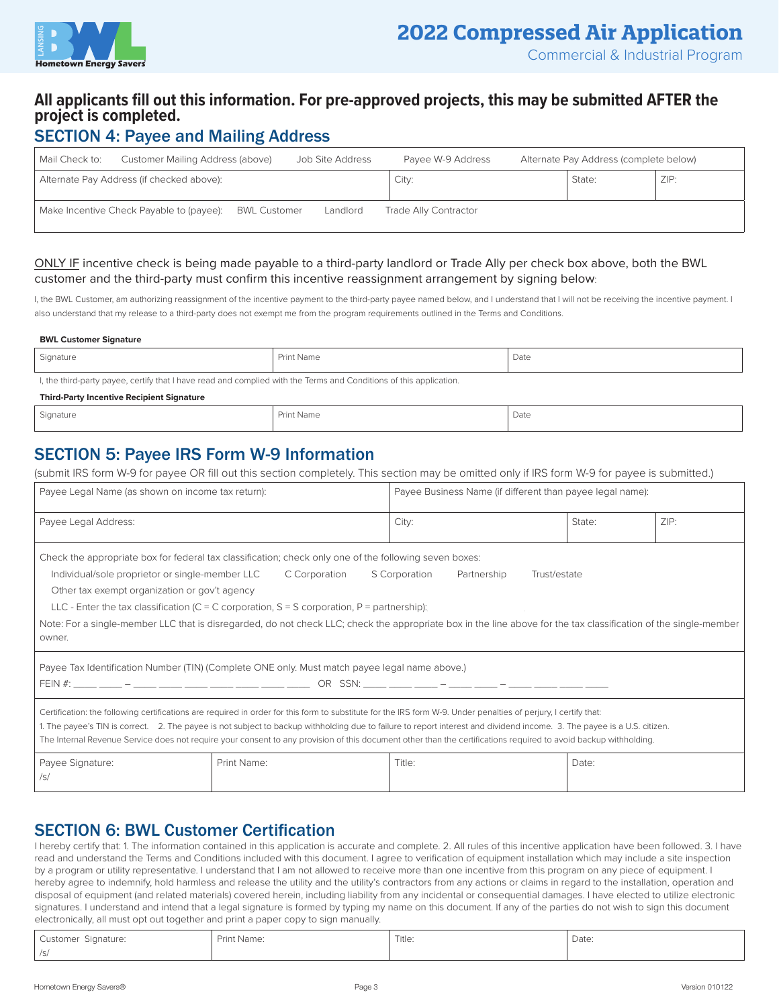

### **All applicants fill out this information. For pre-approved projects, this may be submitted AFTER the project is completed.**

## SECTION 4: Payee and Mailing Address

| Mail Check to: | Customer Mailing Address (above)          |                     | Job Site Address | Payee W-9 Address     | Alternate Pay Address (complete below) |      |
|----------------|-------------------------------------------|---------------------|------------------|-----------------------|----------------------------------------|------|
|                | Alternate Pay Address (if checked above): |                     |                  | City:                 | State:                                 | ZIP: |
|                | Make Incentive Check Payable to (payee):  | <b>BWL Customer</b> | Landlord         | Trade Ally Contractor |                                        |      |

#### ONLY IF incentive check is being made payable to a third-party landlord or Trade Ally per check box above, both the BWL customer and the third-party must confirm this incentive reassignment arrangement by signing below:

I, the BWL Customer, am authorizing reassignment of the incentive payment to the third-party payee named below, and I understand that I will not be receiving the incentive payment. I also understand that my release to a third-party does not exempt me from the program requirements outlined in the Terms and Conditions.

#### **BWL Customer Signature**

| Signature                                                                                                          | Print Name | Date |
|--------------------------------------------------------------------------------------------------------------------|------------|------|
| I, the third-party payee, certify that I have read and complied with the Terms and Conditions of this application. |            |      |

**Third-Party Incentive Recipient Signature**

| <sup>1</sup> Signature | Print Name | Date |
|------------------------|------------|------|
|                        |            | .    |

## SECTION 5: Payee IRS Form W-9 Information

(submit IRS form W-9 for payee OR fill out this section completely. This section may be omitted only if IRS form W-9 for payee is submitted.)

| Payee Legal Name (as shown on income tax return):                                                                                                                                                                                                                                                                                                                                                                                                                                                                                                        |             | Payee Business Name (if different than payee legal name): |        |      |
|----------------------------------------------------------------------------------------------------------------------------------------------------------------------------------------------------------------------------------------------------------------------------------------------------------------------------------------------------------------------------------------------------------------------------------------------------------------------------------------------------------------------------------------------------------|-------------|-----------------------------------------------------------|--------|------|
| Payee Legal Address:                                                                                                                                                                                                                                                                                                                                                                                                                                                                                                                                     |             | City:                                                     | State: | ZIP: |
| Check the appropriate box for federal tax classification; check only one of the following seven boxes:<br>Individual/sole proprietor or single-member LLC<br>C Corporation<br>S Corporation<br>Partnership<br>Trust/estate<br>Other tax exempt organization or gov't agency<br>LLC - Enter the tax classification (C = C corporation, S = S corporation, P = partnership):<br>Note: For a single-member LLC that is disregarded, do not check LLC; check the appropriate box in the line above for the tax classification of the single-member<br>owner. |             |                                                           |        |      |
| Payee Tax Identification Number (TIN) (Complete ONE only. Must match payee legal name above.)                                                                                                                                                                                                                                                                                                                                                                                                                                                            |             |                                                           |        |      |
| Certification: the following certifications are required in order for this form to substitute for the IRS form W-9. Under penalties of perjury, I certify that:<br>1. The payee's TIN is correct. 2. The payee is not subject to backup withholding due to failure to report interest and dividend income. 3. The payee is a U.S. citizen.<br>The Internal Revenue Service does not require your consent to any provision of this document other than the certifications required to avoid backup withholding.                                           |             |                                                           |        |      |
| Payee Signature:<br>/s/                                                                                                                                                                                                                                                                                                                                                                                                                                                                                                                                  | Print Name: | Title:                                                    | Date:  |      |

## SECTION 6: BWL Customer Certification

I hereby certify that: 1. The information contained in this application is accurate and complete. 2. All rules of this incentive application have been followed. 3. I have read and understand the Terms and Conditions included with this document. I agree to verification of equipment installation which may include a site inspection by a program or utility representative. I understand that I am not allowed to receive more than one incentive from this program on any piece of equipment. I hereby agree to indemnify, hold harmless and release the utility and the utility's contractors from any actions or claims in regard to the installation, operation and disposal of equipment (and related materials) covered herein, including liability from any incidental or consequential damages. I have elected to utilize electronic signatures. I understand and intend that a legal signature is formed by typing my name on this document. If any of the parties do not wish to sign this document electronically, all must opt out together and print a paper copy to sign manually.

| Customer Signature: | Print Name: | Title: | Date: |
|---------------------|-------------|--------|-------|
| /s/                 |             |        |       |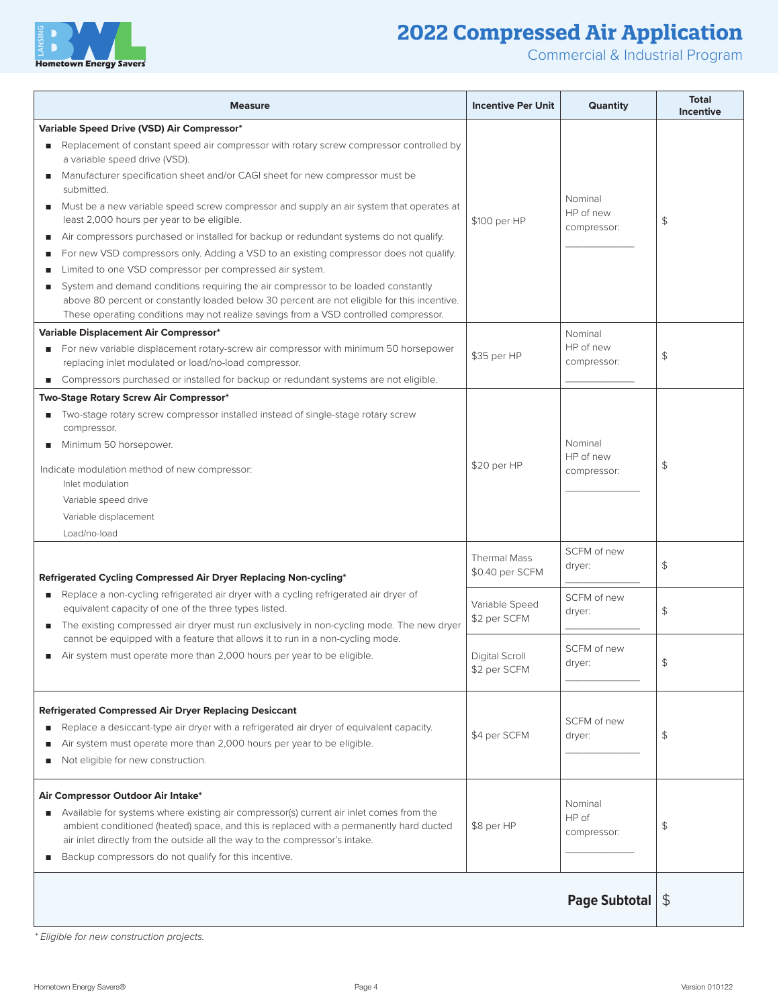



Commercial & Industrial Program

| <b>Measure</b>                                                                                                                                                                        | <b>Incentive Per Unit</b>              | <b>Quantity</b>                     | <b>Total</b><br><b>Incentive</b> |
|---------------------------------------------------------------------------------------------------------------------------------------------------------------------------------------|----------------------------------------|-------------------------------------|----------------------------------|
| <b>Variable Speed Drive (VSD) Air Compressor*</b>                                                                                                                                     |                                        |                                     |                                  |
| Replacement of constant speed air compressor with rotary screw compressor controlled by<br>a variable speed drive (VSD).                                                              |                                        |                                     |                                  |
| Manufacturer specification sheet and/or CAGI sheet for new compressor must be<br>submitted.                                                                                           |                                        |                                     |                                  |
| Must be a new variable speed screw compressor and supply an air system that operates at<br>least 2,000 hours per year to be eligible.                                                 | \$100 per HP                           | Nominal<br>HP of new<br>compressor: | \$                               |
| Air compressors purchased or installed for backup or redundant systems do not qualify.<br>п<br>For new VSD compressors only. Adding a VSD to an existing compressor does not qualify. |                                        |                                     |                                  |
| Limited to one VSD compressor per compressed air system.                                                                                                                              |                                        |                                     |                                  |
| System and demand conditions requiring the air compressor to be loaded constantly<br>п                                                                                                |                                        |                                     |                                  |
| above 80 percent or constantly loaded below 30 percent are not eligible for this incentive.<br>These operating conditions may not realize savings from a VSD controlled compressor.   |                                        |                                     |                                  |
| Variable Displacement Air Compressor*                                                                                                                                                 |                                        | Nominal                             |                                  |
| For new variable displacement rotary-screw air compressor with minimum 50 horsepower                                                                                                  |                                        | HP of new                           |                                  |
| replacing inlet modulated or load/no-load compressor.                                                                                                                                 | \$35 per HP                            | compressor:                         | \$                               |
| Compressors purchased or installed for backup or redundant systems are not eligible.                                                                                                  |                                        |                                     |                                  |
| Two-Stage Rotary Screw Air Compressor*                                                                                                                                                |                                        |                                     |                                  |
| Two-stage rotary screw compressor installed instead of single-stage rotary screw<br>ш<br>compressor.                                                                                  |                                        |                                     |                                  |
| Minimum 50 horsepower.                                                                                                                                                                |                                        | Nominal                             |                                  |
| Indicate modulation method of new compressor:                                                                                                                                         | \$20 per HP                            | HP of new<br>compressor:            | \$                               |
| Inlet modulation                                                                                                                                                                      |                                        |                                     |                                  |
| Variable speed drive                                                                                                                                                                  |                                        |                                     |                                  |
| Variable displacement                                                                                                                                                                 |                                        |                                     |                                  |
| Load/no-load                                                                                                                                                                          |                                        |                                     |                                  |
|                                                                                                                                                                                       | <b>Thermal Mass</b><br>\$0.40 per SCFM | SCFM of new<br>dryer:               | \$                               |
| Refrigerated Cycling Compressed Air Dryer Replacing Non-cycling*                                                                                                                      |                                        |                                     |                                  |
| Replace a non-cycling refrigerated air dryer with a cycling refrigerated air dryer of<br>equivalent capacity of one of the three types listed.                                        | Variable Speed<br>\$2 per SCFM         | SCFM of new<br>dryer:               | $\frac{4}{5}$                    |
| The existing compressed air dryer must run exclusively in non-cycling mode. The new dryer<br>cannot be equipped with a feature that allows it to run in a non-cycling mode.           |                                        |                                     |                                  |
| Air system must operate more than 2,000 hours per year to be eligible.                                                                                                                | Digital Scroll<br>\$2 per SCFM         | SCFM of new<br>dryer:               |                                  |
| <b>Refrigerated Compressed Air Dryer Replacing Desiccant</b>                                                                                                                          |                                        |                                     |                                  |
| Replace a desiccant-type air dryer with a refrigerated air dryer of equivalent capacity.<br>ш                                                                                         |                                        | SCFM of new                         |                                  |
| Air system must operate more than 2,000 hours per year to be eligible.<br>п                                                                                                           | \$4 per SCFM                           | dryer:                              | \$                               |
| Not eligible for new construction.<br>п                                                                                                                                               |                                        |                                     |                                  |
| Air Compressor Outdoor Air Intake*                                                                                                                                                    |                                        |                                     |                                  |
| Available for systems where existing air compressor(s) current air inlet comes from the<br>٠                                                                                          |                                        | Nominal                             |                                  |
| ambient conditioned (heated) space, and this is replaced with a permanently hard ducted                                                                                               | \$8 per HP                             | HP of<br>compressor:                | \$                               |
| air inlet directly from the outside all the way to the compressor's intake.                                                                                                           |                                        |                                     |                                  |
| Backup compressors do not qualify for this incentive.<br>п                                                                                                                            |                                        |                                     |                                  |
|                                                                                                                                                                                       |                                        |                                     |                                  |
|                                                                                                                                                                                       |                                        | Page Subtotal   \$                  |                                  |

*\* Eligible for new construction projects.*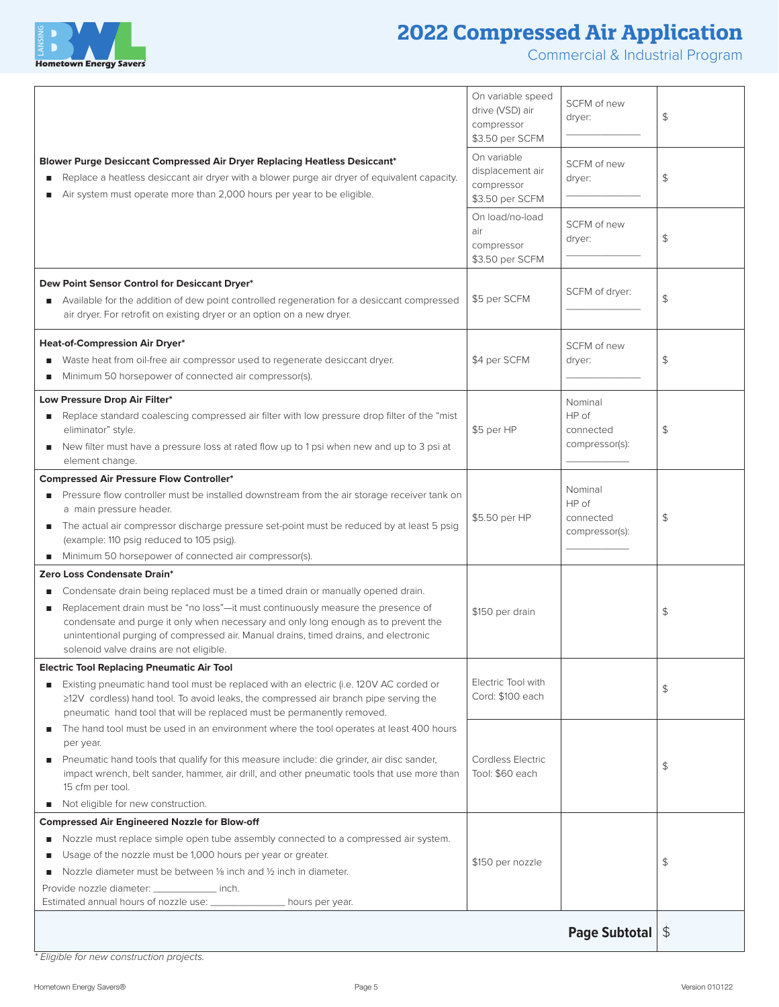

## **2022 Compressed Air Application**

Commercial & Industrial Program

|                                                                                                                                                                                                                                                                                                                | On variable speed<br>drive (VSD) air<br>compressor<br>\$3.50 per SCFM | SCFM of new<br>dryer:         | \$ |
|----------------------------------------------------------------------------------------------------------------------------------------------------------------------------------------------------------------------------------------------------------------------------------------------------------------|-----------------------------------------------------------------------|-------------------------------|----|
| Blower Purge Desiccant Compressed Air Dryer Replacing Heatless Desiccant*<br>Replace a heatless desiccant air dryer with a blower purge air dryer of equivalent capacity.<br>Air system must operate more than 2,000 hours per year to be eligible.                                                            | On variable<br>displacement air<br>compressor<br>\$3.50 per SCFM      | SCFM of new<br>dryer:         | \$ |
|                                                                                                                                                                                                                                                                                                                | On load/no-load<br>air<br>compressor<br>\$3.50 per SCFM               | SCFM of new<br>dryer:         | \$ |
| Dew Point Sensor Control for Desiccant Dryer*                                                                                                                                                                                                                                                                  |                                                                       |                               |    |
| Available for the addition of dew point controlled regeneration for a desiccant compressed<br>air dryer. For retrofit on existing dryer or an option on a new dryer.                                                                                                                                           | \$5 per SCFM                                                          | SCFM of dryer:                | \$ |
| Heat-of-Compression Air Dryer*                                                                                                                                                                                                                                                                                 |                                                                       | SCFM of new                   |    |
| Waste heat from oil-free air compressor used to regenerate desiccant dryer.                                                                                                                                                                                                                                    | \$4 per SCFM                                                          | dryer:                        | \$ |
| Minimum 50 horsepower of connected air compressor(s).                                                                                                                                                                                                                                                          |                                                                       |                               |    |
| Low Pressure Drop Air Filter*<br>Replace standard coalescing compressed air filter with low pressure drop filter of the "mist<br>eliminator" style.                                                                                                                                                            | \$5 per HP                                                            | Nominal<br>HP of<br>connected | \$ |
| New filter must have a pressure loss at rated flow up to 1 psi when new and up to 3 psi at<br>п                                                                                                                                                                                                                |                                                                       | compressor(s):                |    |
| element change.<br><b>Compressed Air Pressure Flow Controller*</b>                                                                                                                                                                                                                                             |                                                                       |                               |    |
| Pressure flow controller must be installed downstream from the air storage receiver tank on<br>a main pressure header.                                                                                                                                                                                         | \$5.50 per HP                                                         | Nominal<br>HP of<br>connected | \$ |
| The actual air compressor discharge pressure set-point must be reduced by at least 5 psig<br>(example: 110 psig reduced to 105 psig).                                                                                                                                                                          |                                                                       | compressor(s):                |    |
| Minimum 50 horsepower of connected air compressor(s).<br>Zero Loss Condensate Drain*                                                                                                                                                                                                                           |                                                                       |                               |    |
| Condensate drain being replaced must be a timed drain or manually opened drain.                                                                                                                                                                                                                                |                                                                       |                               |    |
| Replacement drain must be "no loss"-it must continuously measure the presence of<br>п<br>condensate and purge it only when necessary and only long enough as to prevent the<br>unintentional purging of compressed air. Manual drains, timed drains, and electronic<br>solenoid valve drains are not eligible. | \$150 per drain                                                       |                               | \$ |
| <b>Electric Tool Replacing Pneumatic Air Tool</b>                                                                                                                                                                                                                                                              |                                                                       |                               |    |
| Existing pneumatic hand tool must be replaced with an electric (i.e. 120V AC corded or<br>≥12V cordless) hand tool. To avoid leaks, the compressed air branch pipe serving the<br>pneumatic hand tool that will be replaced must be permanently removed.                                                       | Electric Tool with<br>Cord: \$100 each                                |                               | \$ |
| The hand tool must be used in an environment where the tool operates at least 400 hours<br>п<br>per year.                                                                                                                                                                                                      |                                                                       |                               |    |
| Pneumatic hand tools that qualify for this measure include: die grinder, air disc sander,<br>п<br>impact wrench, belt sander, hammer, air drill, and other pneumatic tools that use more than<br>15 cfm per tool.                                                                                              | Cordless Electric<br>Tool: \$60 each                                  |                               | \$ |
| Not eligible for new construction.<br>п                                                                                                                                                                                                                                                                        |                                                                       |                               |    |
| <b>Compressed Air Engineered Nozzle for Blow-off</b>                                                                                                                                                                                                                                                           |                                                                       |                               |    |
| Nozzle must replace simple open tube assembly connected to a compressed air system.                                                                                                                                                                                                                            |                                                                       |                               |    |
| Usage of the nozzle must be 1,000 hours per year or greater.<br>п<br>Nozzle diameter must be between 1/8 inch and 1/2 inch in diameter.                                                                                                                                                                        | \$150 per nozzle                                                      |                               | \$ |
| Provide nozzle diameter: ______________ inch.                                                                                                                                                                                                                                                                  |                                                                       |                               |    |
| Estimated annual hours of nozzle use: ______________ hours per year.                                                                                                                                                                                                                                           |                                                                       |                               |    |
|                                                                                                                                                                                                                                                                                                                |                                                                       | Page Subtotal $ \$$           |    |

*\* Eligible for new construction projects.*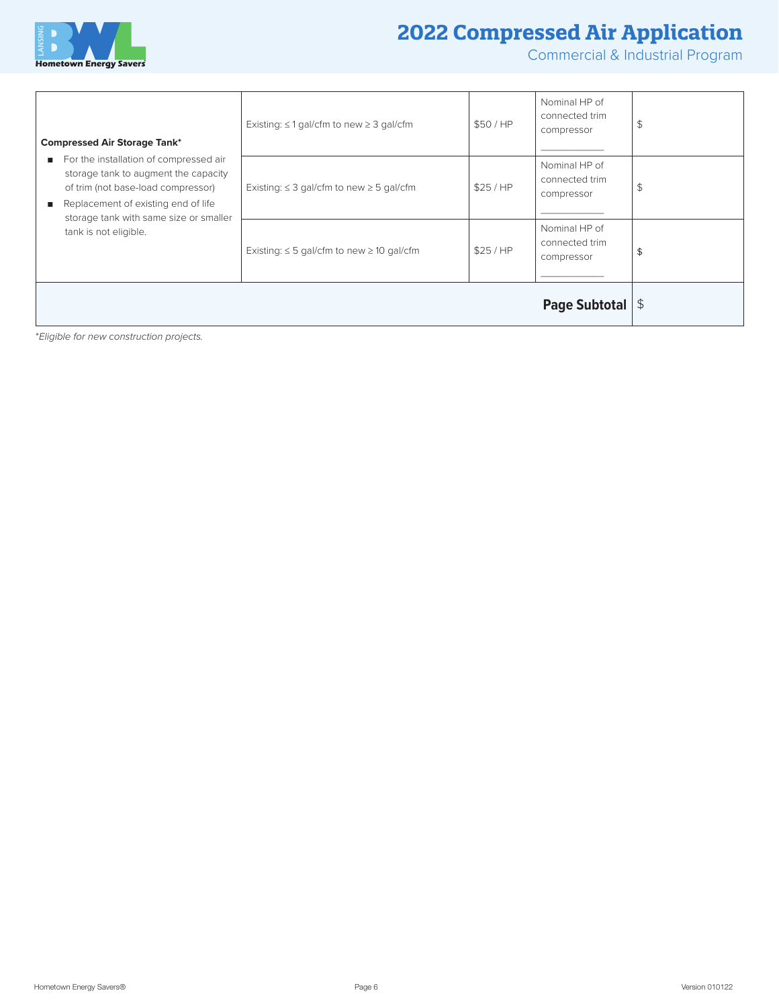

## **2022 Compressed Air Application**

Commercial & Industrial Program

|                                                                                                                                                                                                                   |                                                     |         | <b>Page Subtotal</b> $ \$$                    |    |
|-------------------------------------------------------------------------------------------------------------------------------------------------------------------------------------------------------------------|-----------------------------------------------------|---------|-----------------------------------------------|----|
| tank is not eligible.                                                                                                                                                                                             | Existing: $\leq$ 5 gal/cfm to new $\geq$ 10 gal/cfm | \$25/HP | Nominal HP of<br>connected trim<br>compressor | \$ |
| For the installation of compressed air<br>п.<br>storage tank to augment the capacity<br>of trim (not base-load compressor)<br>Replacement of existing end of life<br>п.<br>storage tank with same size or smaller | Existing: $\leq$ 3 gal/cfm to new $\geq$ 5 gal/cfm  | \$25/HP | Nominal HP of<br>connected trim<br>compressor | \$ |
| <b>Compressed Air Storage Tank*</b>                                                                                                                                                                               | Existing: $\leq$ 1 gal/cfm to new $\geq$ 3 gal/cfm  | \$50/HP | Nominal HP of<br>connected trim<br>compressor | \$ |

\**Eligible for new construction projects.*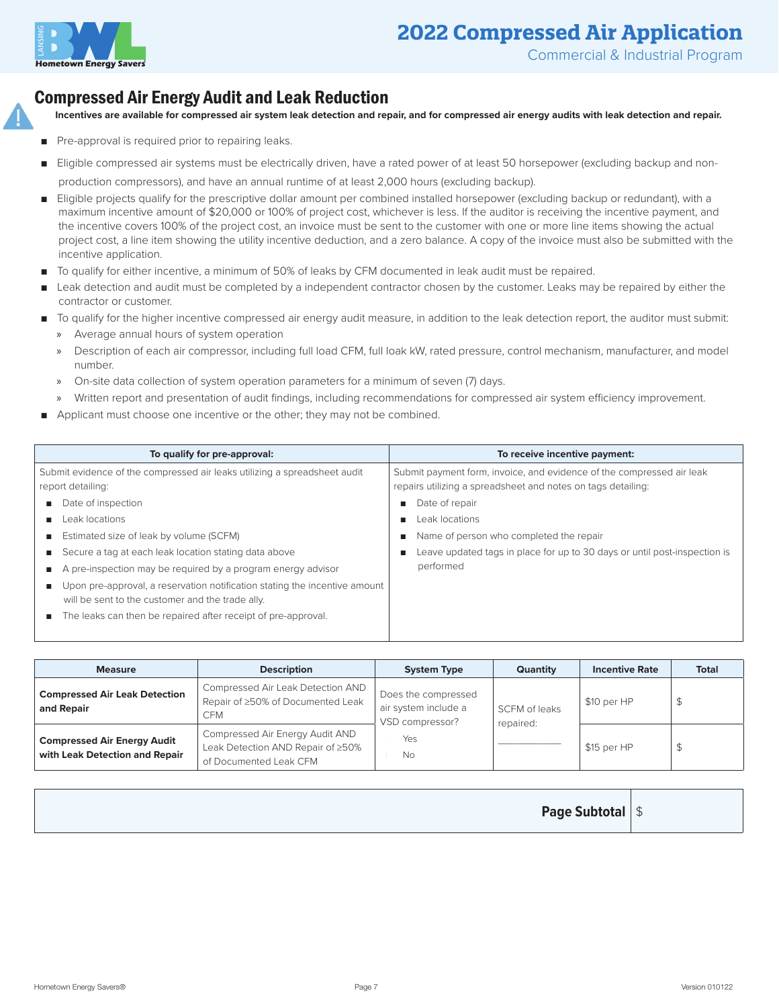

## **2022 Compressed Air Application**

## Compressed Air Energy Audit and Leak Reduction

**Incentives are available for compressed air system leak detection and repair, and for compressed air energy audits with leak detection and repair.**

- Pre-approval is required prior to repairing leaks.
- Eligible compressed air systems must be electrically driven, have a rated power of at least 50 horsepower (excluding backup and non-
- production compressors), and have an annual runtime of at least 2,000 hours (excluding backup).
- Eligible projects qualify for the prescriptive dollar amount per combined installed horsepower (excluding backup or redundant), with a maximum incentive amount of \$20,000 or 100% of project cost, whichever is less. If the auditor is receiving the incentive payment, and the incentive covers 100% of the project cost, an invoice must be sent to the customer with one or more line items showing the actual project cost, a line item showing the utility incentive deduction, and a zero balance. A copy of the invoice must also be submitted with the incentive application.
- To qualify for either incentive, a minimum of 50% of leaks by CFM documented in leak audit must be repaired.
- Leak detection and audit must be completed by a independent contractor chosen by the customer. Leaks may be repaired by either the contractor or customer.
- To qualify for the higher incentive compressed air energy audit measure, in addition to the leak detection report, the auditor must submit:
	- » Average annual hours of system operation
	- » Description of each air compressor, including full load CFM, full loak kW, rated pressure, control mechanism, manufacturer, and model number.
	- » On-site data collection of system operation parameters for a minimum of seven (7) days.
	- » Written report and presentation of audit findings, including recommendations for compressed air system efficiency improvement.
- Applicant must choose one incentive or the other; they may not be combined.

| To qualify for pre-approval:<br>Submit evidence of the compressed air leaks utilizing a spreadsheet audit<br>report detailing:<br>Date of inspection<br>п<br>Leak locations<br>п.<br>Estimated size of leak by volume (SCFM)<br>ш<br>Secure a tag at each leak location stating data above<br>ш<br>A pre-inspection may be required by a program energy advisor<br>п<br>Upon pre-approval, a reservation notification stating the incentive amount<br>ш<br>will be sent to the customer and the trade ally. | To receive incentive payment:<br>Submit payment form, invoice, and evidence of the compressed air leak<br>repairs utilizing a spreadsheet and notes on tags detailing:<br>Date of repair<br>Leak locations<br>Name of person who completed the repair<br>Leave updated tags in place for up to 30 days or until post-inspection is<br>performed |
|-------------------------------------------------------------------------------------------------------------------------------------------------------------------------------------------------------------------------------------------------------------------------------------------------------------------------------------------------------------------------------------------------------------------------------------------------------------------------------------------------------------|-------------------------------------------------------------------------------------------------------------------------------------------------------------------------------------------------------------------------------------------------------------------------------------------------------------------------------------------------|
| The leaks can then be repaired after receipt of pre-approval.<br>п                                                                                                                                                                                                                                                                                                                                                                                                                                          |                                                                                                                                                                                                                                                                                                                                                 |

| <b>Measure</b>                                                       | <b>Description</b>                                                                             | <b>System Type</b>                                                          | Quantity                   | <b>Incentive Rate</b> | <b>Total</b> |
|----------------------------------------------------------------------|------------------------------------------------------------------------------------------------|-----------------------------------------------------------------------------|----------------------------|-----------------------|--------------|
| <b>Compressed Air Leak Detection</b><br>and Repair                   | Compressed Air Leak Detection AND<br>Repair of ≥50% of Documented Leak<br><b>CFM</b>           | Does the compressed<br>air system include a<br>VSD compressor?<br>Yes<br>No | SCFM of leaks<br>repaired: | \$10 per HP           | \$           |
| <b>Compressed Air Energy Audit</b><br>with Leak Detection and Repair | Compressed Air Energy Audit AND<br>Leak Detection AND Repair of ≥50%<br>of Documented Leak CFM |                                                                             |                            | \$15 per HP           | \$           |

| <b>Page Subtotal   \$</b> |  |
|---------------------------|--|
|---------------------------|--|